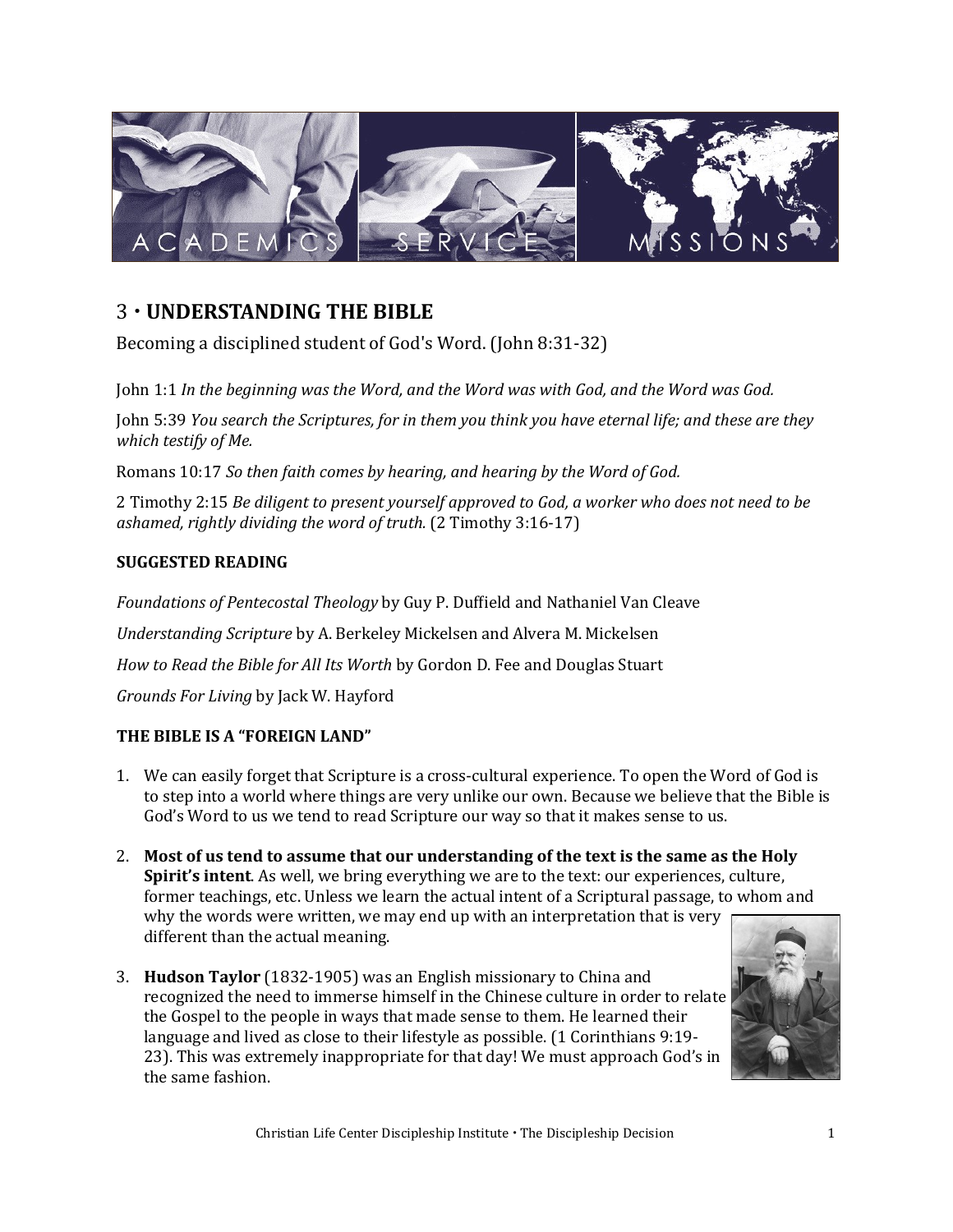

## 3 **UNDERSTANDING THE BIBLE**

Becoming a disciplined student of God's Word. (John 8:31-32)

John 1:1 *In the beginning was the Word, and the Word was with God, and the Word was God.* 

John 5:39 *You search the Scriptures, for in them you think you have eternal life; and these are they which testify of Me.* 

Romans 10:17 *So then faith comes by hearing, and hearing by the Word of God.* 

2 Timothy 2:15 *Be diligent to present yourself approved to God, a worker who does not need to be ashamed, rightly dividing the word of truth.* (2 Timothy 3:16-17)

## **SUGGESTED READING**

*Foundations of Pentecostal Theology* by Guy P. Duffield and Nathaniel Van Cleave *Understanding Scripture* by A. Berkeley Mickelsen and Alvera M. Mickelsen *How to Read the Bible for All Its Worth* by Gordon D. Fee and Douglas Stuart *Grounds For Living* by Jack W. Hayford

## **THE BIBLE IS A "FOREIGN LAND"**

- 1. We can easily forget that Scripture is a cross-cultural experience. To open the Word of God is to step into a world where things are very unlike our own. Because we believe that the Bible is God's Word to us we tend to read Scripture our way so that it makes sense to us.
- 2. **Most of us tend to assume that our understanding of the text is the same as the Holy Spirit's intent**. As well, we bring everything we are to the text: our experiences, culture, former teachings, etc. Unless we learn the actual intent of a Scriptural passage, to whom and why the words were written, we may end up with an interpretation that is very different than the actual meaning.
- 3. **Hudson Taylor** (1832-1905) was an English missionary to China and recognized the need to immerse himself in the Chinese culture in order to relate the Gospel to the people in ways that made sense to them. He learned their language and lived as close to their lifestyle as possible. (1 Corinthians 9:19- 23). This was extremely inappropriate for that day! We must approach God's in the same fashion.

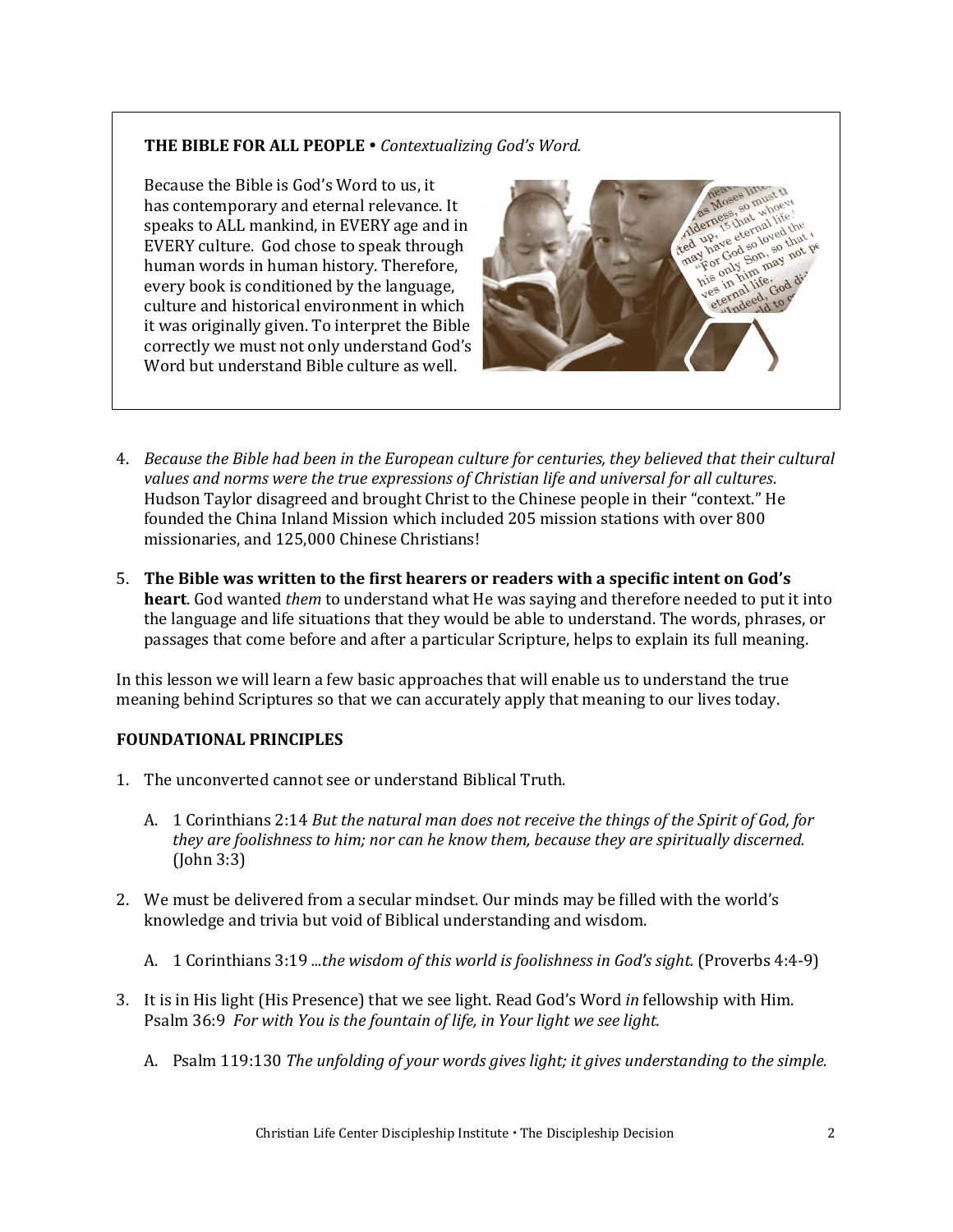## **THE BIBLE FOR ALL PEOPLE**  *Contextualizing God's Word.*

Because the Bible is God's Word to us, it has contemporary and eternal relevance. It speaks to ALL mankind, in EVERY age and in EVERY culture. God chose to speak through human words in human history. Therefore, every book is conditioned by the language, culture and historical environment in which it was originally given. To interpret the Bible correctly we must not only understand God's Word but understand Bible culture as well.



- 4. *Because the Bible had been in the European culture for centuries, they believed that their cultural values and norms were the true expressions of Christian life and universal for all cultures*. Hudson Taylor disagreed and brought Christ to the Chinese people in their "context." He founded the China Inland Mission which included 205 mission stations with over 800 missionaries, and 125,000 Chinese Christians!
- 5. **The Bible was written to the first hearers or readers with a specific intent on God's heart**. God wanted *them* to understand what He was saying and therefore needed to put it into the language and life situations that they would be able to understand. The words, phrases, or passages that come before and after a particular Scripture, helps to explain its full meaning.

In this lesson we will learn a few basic approaches that will enable us to understand the true meaning behind Scriptures so that we can accurately apply that meaning to our lives today.

## **FOUNDATIONAL PRINCIPLES**

- 1. The unconverted cannot see or understand Biblical Truth.
	- A. 1 Corinthians 2:14 *But the natural man does not receive the things of the Spirit of God, for they are foolishness to him; nor can he know them, because they are spiritually discerned.*  (John 3:3)
- 2. We must be delivered from a secular mindset. Our minds may be filled with the world's knowledge and trivia but void of Biblical understanding and wisdom.
	- A. 1 Corinthians 3:19 *...the wisdom of this world is foolishness in God's sight.* (Proverbs 4:4-9)
- 3. It is in His light (His Presence) that we see light. Read God's Word *in* fellowship with Him. Psalm 36:9 *For with You is the fountain of life, in Your light we see light.* 
	- A. Psalm 119:130 *The unfolding of your words gives light; it gives understanding to the simple.*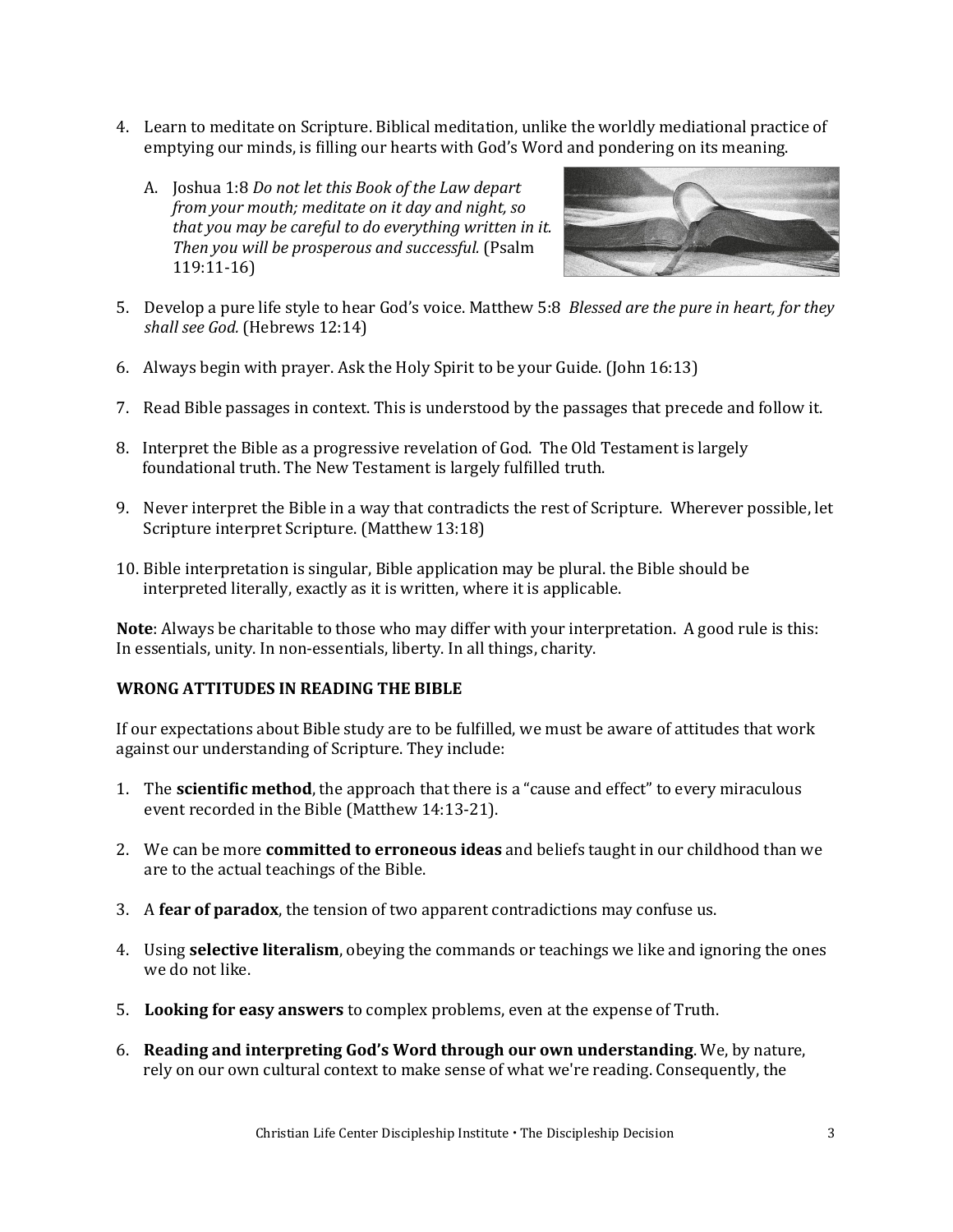- 4. Learn to meditate on Scripture. Biblical meditation, unlike the worldly mediational practice of emptying our minds, is filling our hearts with God's Word and pondering on its meaning.
	- A. Joshua 1:8 *Do not let this Book of the Law depart from your mouth; meditate on it day and night, so that you may be careful to do everything written in it. Then you will be prosperous and successful.* (Psalm 119:11-16)



- 5. Develop a pure life style to hear God's voice. Matthew 5:8 *Blessed are the pure in heart, for they shall see God.* (Hebrews 12:14)
- 6. Always begin with prayer. Ask the Holy Spirit to be your Guide. (John 16:13)
- 7. Read Bible passages in context. This is understood by the passages that precede and follow it.
- 8. Interpret the Bible as a progressive revelation of God. The Old Testament is largely foundational truth. The New Testament is largely fulfilled truth.
- 9. Never interpret the Bible in a way that contradicts the rest of Scripture. Wherever possible, let Scripture interpret Scripture. (Matthew 13:18)
- 10. Bible interpretation is singular, Bible application may be plural. the Bible should be interpreted literally, exactly as it is written, where it is applicable.

**Note**: Always be charitable to those who may differ with your interpretation. A good rule is this: In essentials, unity. In non-essentials, liberty. In all things, charity.

#### **WRONG ATTITUDES IN READING THE BIBLE**

If our expectations about Bible study are to be fulfilled, we must be aware of attitudes that work against our understanding of Scripture. They include:

- 1. The **scientific method**, the approach that there is a "cause and effect" to every miraculous event recorded in the Bible (Matthew 14:13-21).
- 2. We can be more **committed to erroneous ideas** and beliefs taught in our childhood than we are to the actual teachings of the Bible.
- 3. A **fear of paradox**, the tension of two apparent contradictions may confuse us.
- 4. Using **selective literalism**, obeying the commands or teachings we like and ignoring the ones we do not like.
- 5. **Looking for easy answers** to complex problems, even at the expense of Truth.
- 6. **Reading and interpreting God's Word through our own understanding**. We, by nature, rely on our own cultural context to make sense of what we're reading. Consequently, the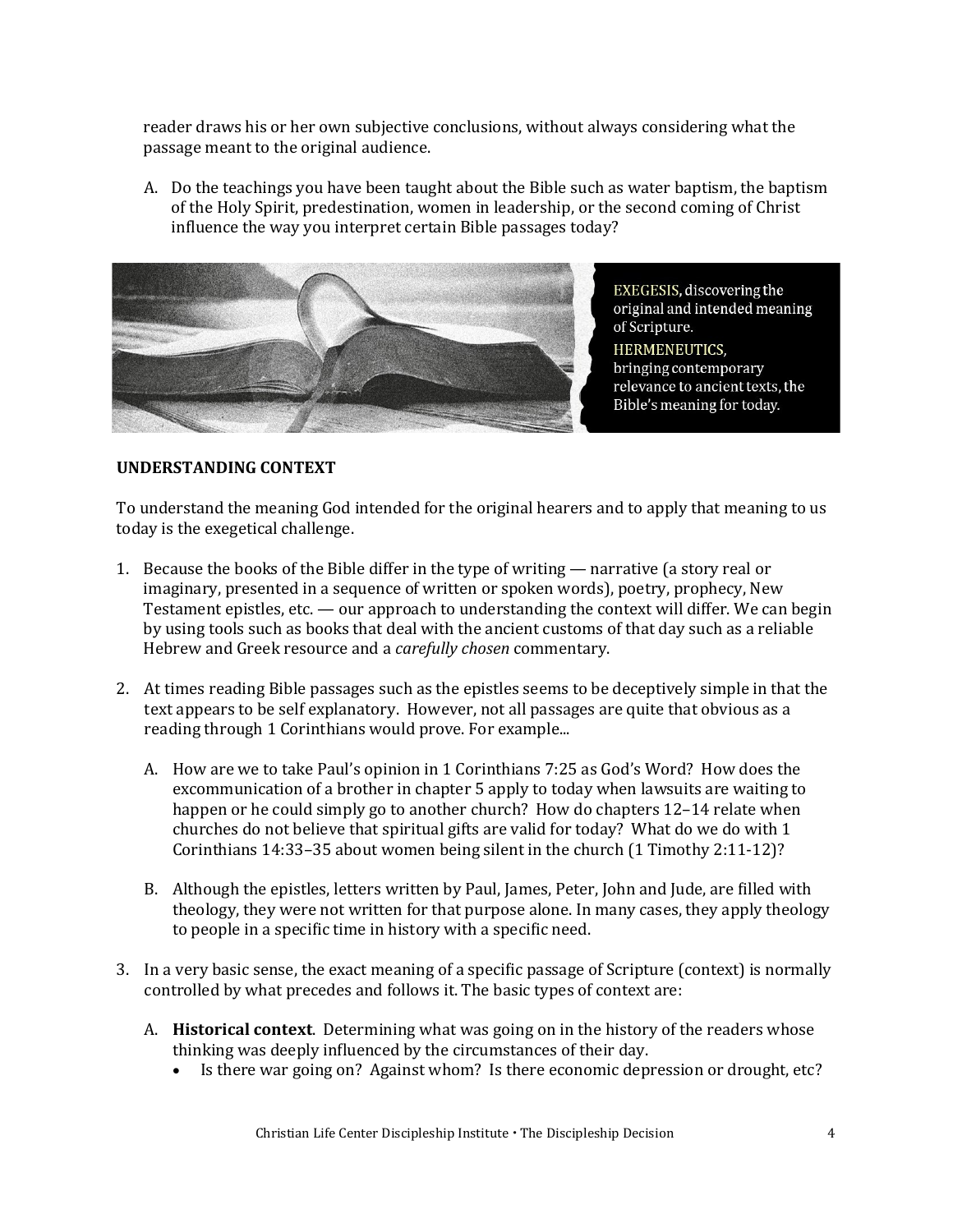reader draws his or her own subjective conclusions, without always considering what the passage meant to the original audience.

A. Do the teachings you have been taught about the Bible such as water baptism, the baptism of the Holy Spirit, predestination, women in leadership, or the second coming of Christ influence the way you interpret certain Bible passages today?



EXEGESIS, discovering the original and intended meaning of Scripture. **HERMENEUTICS,** bringing contemporary relevance to ancient texts, the Bible's meaning for today.

#### **UNDERSTANDING CONTEXT**

To understand the meaning God intended for the original hearers and to apply that meaning to us today is the exegetical challenge.

- 1. Because the books of the Bible differ in the type of writing narrative (a story real or imaginary, presented in a sequence of written or spoken words), poetry, prophecy, New Testament epistles, etc. — our approach to understanding the context will differ. We can begin by using tools such as books that deal with the ancient customs of that day such as a reliable Hebrew and Greek resource and a *carefully chosen* commentary.
- 2. At times reading Bible passages such as the epistles seems to be deceptively simple in that the text appears to be self explanatory. However, not all passages are quite that obvious as a reading through 1 Corinthians would prove. For example...
	- A. How are we to take Paul's opinion in 1 Corinthians 7:25 as God's Word? How does the excommunication of a brother in chapter 5 apply to today when lawsuits are waiting to happen or he could simply go to another church? How do chapters 12–14 relate when churches do not believe that spiritual gifts are valid for today? What do we do with 1 Corinthians 14:33–35 about women being silent in the church (1 Timothy 2:11-12)?
	- B. Although the epistles, letters written by Paul, James, Peter, John and Jude, are filled with theology, they were not written for that purpose alone. In many cases, they apply theology to people in a specific time in history with a specific need.
- 3. In a very basic sense, the exact meaning of a specific passage of Scripture (context) is normally controlled by what precedes and follows it. The basic types of context are:
	- A. **Historical context**. Determining what was going on in the history of the readers whose thinking was deeply influenced by the circumstances of their day.
		- Is there war going on? Against whom? Is there economic depression or drought, etc?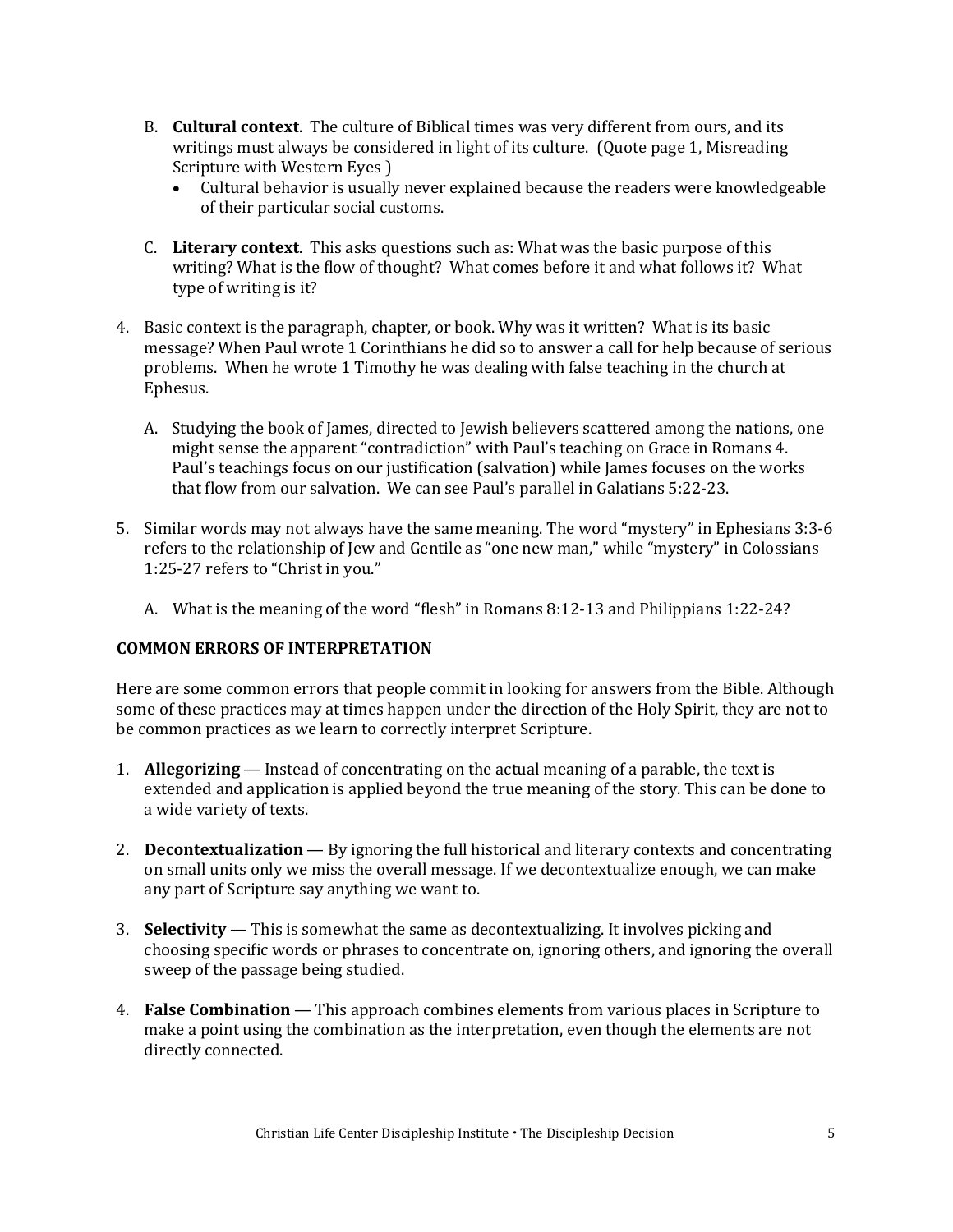- B. **Cultural context**. The culture of Biblical times was very different from ours, and its writings must always be considered in light of its culture. (Quote page 1, Misreading Scripture with Western Eyes )
	- Cultural behavior is usually never explained because the readers were knowledgeable of their particular social customs.
- C. **Literary context**. This asks questions such as: What was the basic purpose of this writing? What is the flow of thought? What comes before it and what follows it? What type of writing is it?
- 4. Basic context is the paragraph, chapter, or book. Why was it written? What is its basic message? When Paul wrote 1 Corinthians he did so to answer a call for help because of serious problems. When he wrote 1 Timothy he was dealing with false teaching in the church at Ephesus.
	- A. Studying the book of James, directed to Jewish believers scattered among the nations, one might sense the apparent "contradiction" with Paul's teaching on Grace in Romans 4. Paul's teachings focus on our justification (salvation) while James focuses on the works that flow from our salvation. We can see Paul's parallel in Galatians 5:22-23.
- 5. Similar words may not always have the same meaning. The word "mystery" in Ephesians 3:3-6 refers to the relationship of Jew and Gentile as "one new man," while "mystery" in Colossians 1:25-27 refers to "Christ in you."
	- A. What is the meaning of the word "flesh" in Romans 8:12-13 and Philippians 1:22-24?

#### **COMMON ERRORS OF INTERPRETATION**

Here are some common errors that people commit in looking for answers from the Bible. Although some of these practices may at times happen under the direction of the Holy Spirit, they are not to be common practices as we learn to correctly interpret Scripture.

- 1. **Allegorizing** Instead of concentrating on the actual meaning of a parable, the text is extended and application is applied beyond the true meaning of the story. This can be done to a wide variety of texts.
- 2. **Decontextualization**  By ignoring the full historical and literary contexts and concentrating on small units only we miss the overall message. If we decontextualize enough, we can make any part of Scripture say anything we want to.
- 3. **Selectivity**  This is somewhat the same as decontextualizing. It involves picking and choosing specific words or phrases to concentrate on, ignoring others, and ignoring the overall sweep of the passage being studied.
- 4. **False Combination**  This approach combines elements from various places in Scripture to make a point using the combination as the interpretation, even though the elements are not directly connected.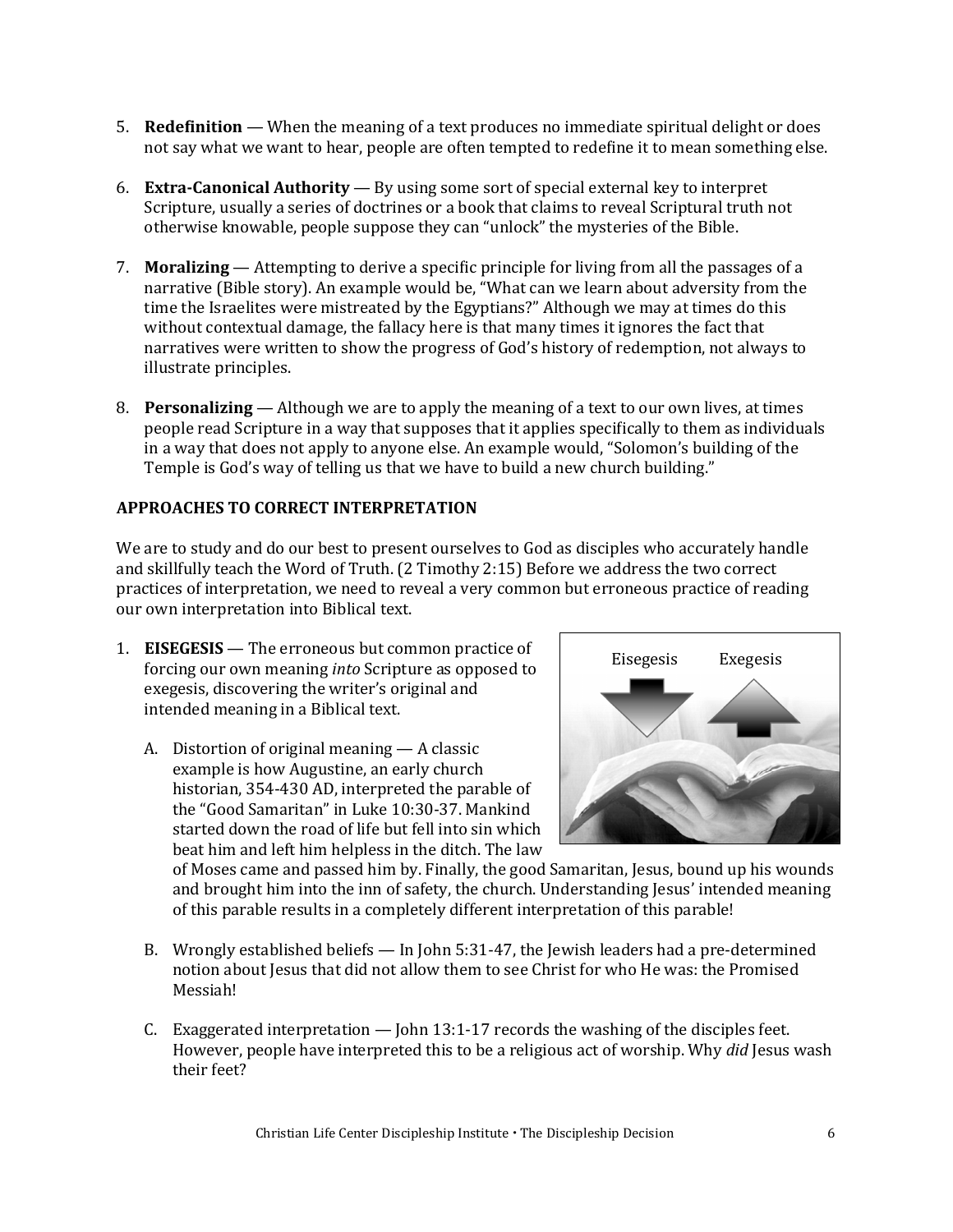- 5. **Redefinition**  When the meaning of a text produces no immediate spiritual delight or does not say what we want to hear, people are often tempted to redefine it to mean something else.
- 6. **Extra-Canonical Authority**  By using some sort of special external key to interpret Scripture, usually a series of doctrines or a book that claims to reveal Scriptural truth not otherwise knowable, people suppose they can "unlock" the mysteries of the Bible.
- 7. **Moralizing**  Attempting to derive a specific principle for living from all the passages of a narrative (Bible story). An example would be, "What can we learn about adversity from the time the Israelites were mistreated by the Egyptians?" Although we may at times do this without contextual damage, the fallacy here is that many times it ignores the fact that narratives were written to show the progress of God's history of redemption, not always to illustrate principles.
- 8. **Personalizing** Although we are to apply the meaning of a text to our own lives, at times people read Scripture in a way that supposes that it applies specifically to them as individuals in a way that does not apply to anyone else. An example would, "Solomon's building of the Temple is God's way of telling us that we have to build a new church building."

#### **APPROACHES TO CORRECT INTERPRETATION**

We are to study and do our best to present ourselves to God as disciples who accurately handle and skillfully teach the Word of Truth. (2 Timothy 2:15) Before we address the two correct practices of interpretation, we need to reveal a very common but erroneous practice of reading our own interpretation into Biblical text.

- 1. **EISEGESIS**  The erroneous but common practice of forcing our own meaning *into* Scripture as opposed to exegesis, discovering the writer's original and intended meaning in a Biblical text.
	- A. Distortion of original meaning A classic example is how Augustine, an early church historian, 354-430 AD, interpreted the parable of the "Good Samaritan" in Luke 10:30-37. Mankind started down the road of life but fell into sin which beat him and left him helpless in the ditch. The law



of Moses came and passed him by. Finally, the good Samaritan, Jesus, bound up his wounds and brought him into the inn of safety, the church. Understanding Jesus' intended meaning of this parable results in a completely different interpretation of this parable!

- B. Wrongly established beliefs In John 5:31-47, the Jewish leaders had a pre-determined notion about Jesus that did not allow them to see Christ for who He was: the Promised Messiah!
- C. Exaggerated interpretation John 13:1-17 records the washing of the disciples feet. However, people have interpreted this to be a religious act of worship. Why *did* Jesus wash their feet?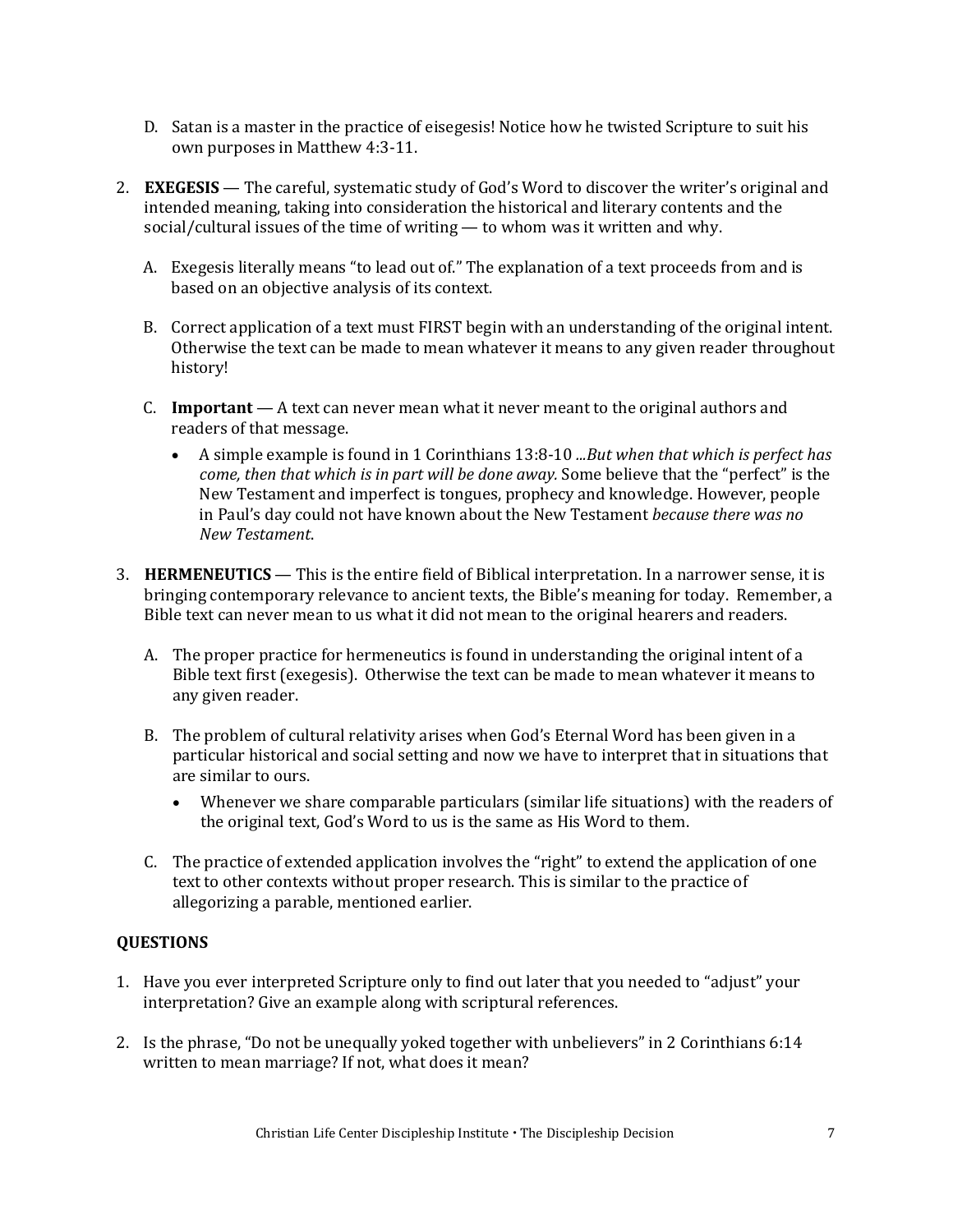- D. Satan is a master in the practice of eisegesis! Notice how he twisted Scripture to suit his own purposes in Matthew 4:3-11.
- 2. **EXEGESIS**  The careful, systematic study of God's Word to discover the writer's original and intended meaning, taking into consideration the historical and literary contents and the social/cultural issues of the time of writing — to whom was it written and why.
	- A. Exegesis literally means "to lead out of." The explanation of a text proceeds from and is based on an objective analysis of its context.
	- B. Correct application of a text must FIRST begin with an understanding of the original intent. Otherwise the text can be made to mean whatever it means to any given reader throughout history!
	- C. **Important**  A text can never mean what it never meant to the original authors and readers of that message.
		- A simple example is found in 1 Corinthians 13:8-10 *...But when that which is perfect has come, then that which is in part will be done away.* Some believe that the "perfect" is the New Testament and imperfect is tongues, prophecy and knowledge. However, people in Paul's day could not have known about the New Testament *because there was no New Testament*.
- 3. **HERMENEUTICS**  This is the entire field of Biblical interpretation. In a narrower sense, it is bringing contemporary relevance to ancient texts, the Bible's meaning for today. Remember, a Bible text can never mean to us what it did not mean to the original hearers and readers.
	- A. The proper practice for hermeneutics is found in understanding the original intent of a Bible text first (exegesis). Otherwise the text can be made to mean whatever it means to any given reader.
	- B. The problem of cultural relativity arises when God's Eternal Word has been given in a particular historical and social setting and now we have to interpret that in situations that are similar to ours.
		- Whenever we share comparable particulars (similar life situations) with the readers of the original text, God's Word to us is the same as His Word to them.
	- C. The practice of extended application involves the "right" to extend the application of one text to other contexts without proper research. This is similar to the practice of allegorizing a parable, mentioned earlier.

#### **QUESTIONS**

- 1. Have you ever interpreted Scripture only to find out later that you needed to "adjust" your interpretation? Give an example along with scriptural references.
- 2. Is the phrase, "Do not be unequally yoked together with unbelievers" in 2 Corinthians 6:14 written to mean marriage? If not, what does it mean?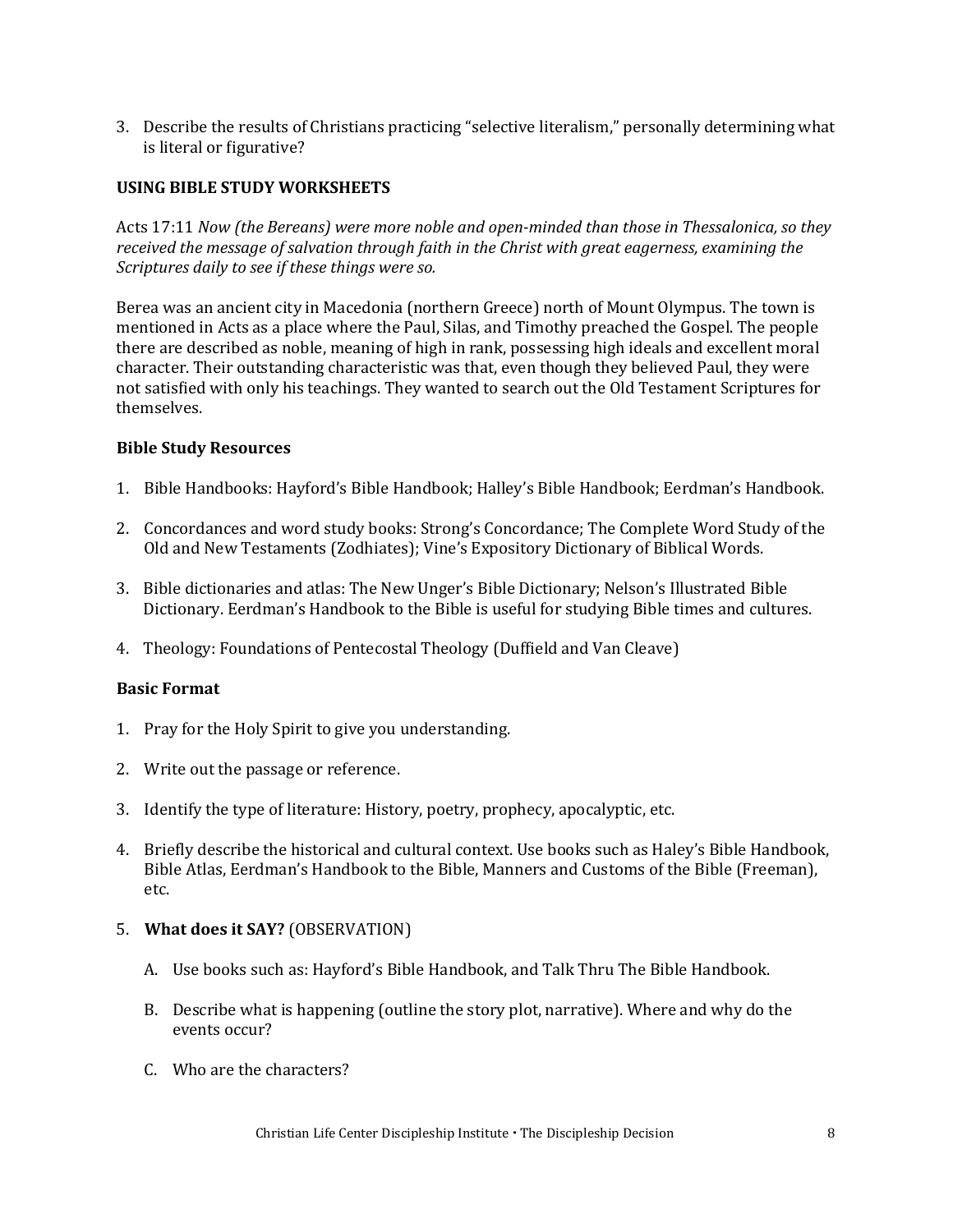3. Describe the results of Christians practicing "selective literalism," personally determining what is literal or figurative?

#### **USING BIBLE STUDY WORKSHEETS**

Acts 17:11 *Now (the Bereans) were more noble and open-minded than those in Thessalonica, so they received the message of salvation through faith in the Christ with great eagerness, examining the Scriptures daily to see if these things were so.* 

Berea was an ancient city in Macedonia (northern Greece) north of Mount Olympus. The town is mentioned in Acts as a place where the Paul, Silas, and Timothy preached the Gospel. The people there are described as noble, meaning of high in rank, possessing high ideals and excellent moral character. Their outstanding characteristic was that, even though they believed Paul, they were not satisfied with only his teachings. They wanted to search out the Old Testament Scriptures for themselves.

#### **Bible Study Resources**

- 1. Bible Handbooks: Hayford's Bible Handbook; Halley's Bible Handbook; Eerdman's Handbook.
- 2. Concordances and word study books: Strong's Concordance; The Complete Word Study of the Old and New Testaments (Zodhiates); Vine's Expository Dictionary of Biblical Words.
- 3. Bible dictionaries and atlas: The New Unger's Bible Dictionary; Nelson's Illustrated Bible Dictionary. Eerdman's Handbook to the Bible is useful for studying Bible times and cultures.
- 4. Theology: Foundations of Pentecostal Theology (Duffield and Van Cleave)

#### **Basic Format**

- 1. Pray for the Holy Spirit to give you understanding.
- 2. Write out the passage or reference.
- 3. Identify the type of literature: History, poetry, prophecy, apocalyptic, etc.
- 4. Briefly describe the historical and cultural context. Use books such as Haley's Bible Handbook, Bible Atlas, Eerdman's Handbook to the Bible, Manners and Customs of the Bible (Freeman), etc.

#### 5. **What does it SAY?** (OBSERVATION)

- A. Use books such as: Hayford's Bible Handbook, and Talk Thru The Bible Handbook.
- B. Describe what is happening (outline the story plot, narrative). Where and why do the events occur?
- C. Who are the characters?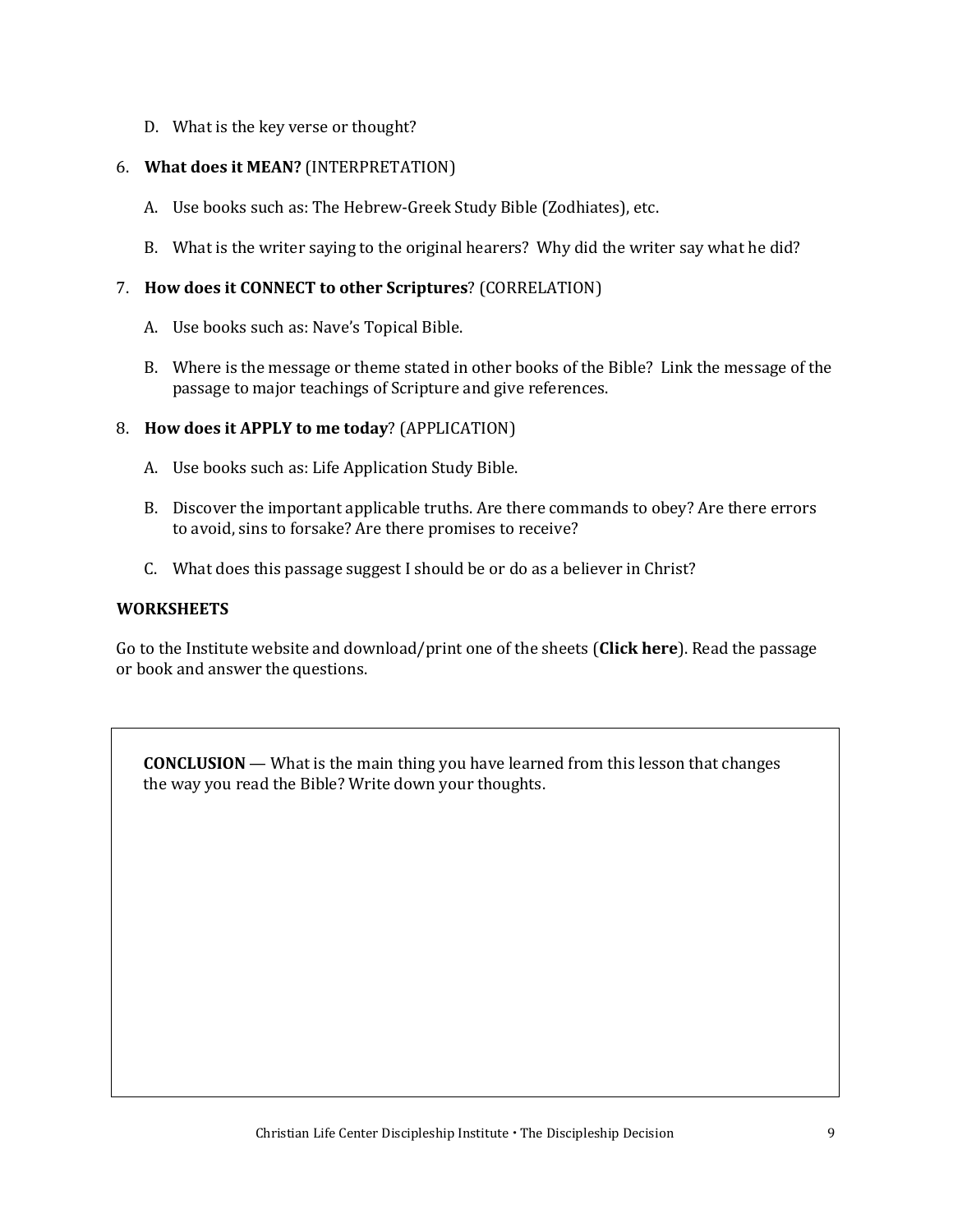D. What is the key verse or thought?

#### 6. **What does it MEAN?** (INTERPRETATION)

- A. Use books such as: The Hebrew-Greek Study Bible (Zodhiates), etc.
- B. What is the writer saying to the original hearers? Why did the writer say what he did?

#### 7. **How does it CONNECT to other Scriptures**? (CORRELATION)

- A. Use books such as: Nave's Topical Bible.
- B. Where is the message or theme stated in other books of the Bible? Link the message of the passage to major teachings of Scripture and give references.

#### 8. **How does it APPLY to me today**? (APPLICATION)

- A. Use books such as: Life Application Study Bible.
- B. Discover the important applicable truths. Are there commands to obey? Are there errors to avoid, sins to forsake? Are there promises to receive?
- C. What does this passage suggest I should be or do as a believer in Christ?

#### **WORKSHEETS**

Go to the Institute website and download/print one of the sheets (**[Click here](https://developdisciples.files.wordpress.com/2022/04/exegetical-sheets.pdf)**). Read the passage or book and answer the questions.

**CONCLUSION** — What is the main thing you have learned from this lesson that changes the way you read the Bible? Write down your thoughts.